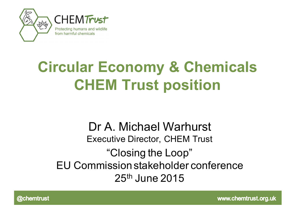

# **Circular Economy & Chemicals CHEM Trust position**

#### Dr A. Michael Warhurst Executive Director, CHEM Trust "Closing the Loop" EU Commission stakeholder conference 25th June 2015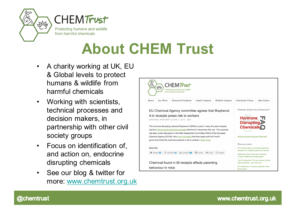



## **About CHEM Trust**

- A charity working at UK, EU & Global levels to protect humans & wildlife from harmful chemicals
- Working with scientists, technical processes and decision makers, in partnership with other civil society groups
- Focus on identification of, and action on, endocrine disrupting chemicals
- See our blog & twitter for more: www.chemtrust.org.uk

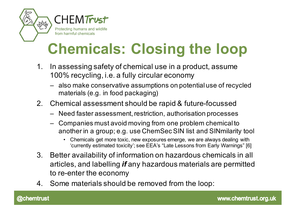

# **Chemicals: Closing the loop**

- 1. In assessing safety of chemical use in a product, assume 100% recycling, i.e. a fully circular economy
	- also make conservative assumptions on potential use of recycled materials (e.g. in food packaging)
- 2. Chemical assessment should be rapid & future-focussed
	- Need faster assessment, restriction, authorisation processes
	- Companies must avoid moving from one problem chemical to another in a group; e.g. use ChemSec SIN list and SINmilarity tool
		- Chemicals get more toxic, new exposures emerge, we are always dealing with 'currently estimated toxicity'; see EEA's "Late Lessons from Early Warnings" [6]
- 3. Better availability of information on hazardous chemicals in all articles, and labelling *if* any hazardous materials are permitted to re-enter the economy
- 4. Some materials should be removed from the loop: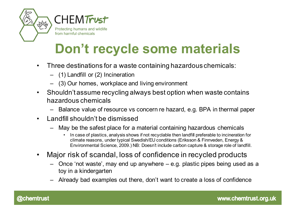



from harmful chemicals

**Don't recycle some materials**

- Three destinations for a waste containing hazardous chemicals:
	- (1) Landfill or (2) Incineration
	- (3) Our homes, workplace and living environment
- Shouldn't assume recycling always best option when waste contains hazardous chemicals
	- Balance value of resource vs concern re hazard, e.g. BPA in thermal paper
- Landfill shouldn't be dismissed
	- May be the safest place for a material containing hazardous chemicals
		- In case of plastics, analysis shows if not recyclable then landfill preferable to incineration for climate reasons, under typical Swedish/EU conditions (Eriksson & Finnveden, Energy & Environmental Science, 2009.) NB: Doesn't include carbon capture & storage role of landfill.
- Major risk of scandal, loss of confidence in recycled products
	- Once 'not waste', may end up anywhere e.g. plastic pipes being used as a toy in a kindergarten
	- Already bad examples out there, don't want to create a loss of confidence